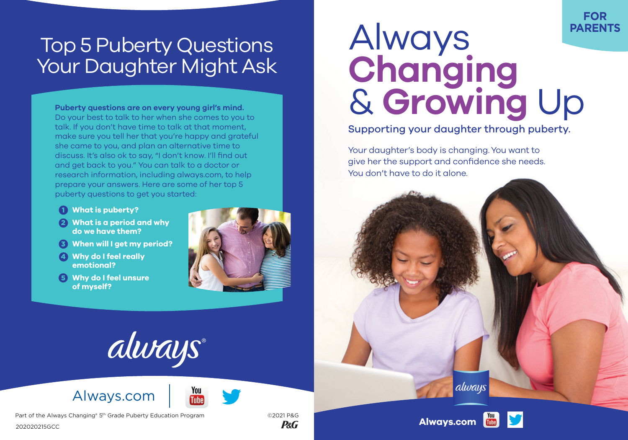## Top 5 Puberty Questions Your Daughter Might Ask

**Puberty questions are on every young girl's mind.** Do your best to talk to her when she comes to you to talk. If you don't have time to talk at that moment, make sure you tell her that you're happy and grateful she came to you, and plan an alternative time to discuss. It's also ok to say, "I don't know. I'll find out and get back to you." You can talk to a doctor or research information, includin[g always.com, t](https://always.com/en-us)o help prepare your answers. Here are some of her top 5 puberty questions to get you started:

- **What is puberty?** 1
- **What is a period and why**  2 **do we have them?**
- **When will I get my period?** 3
- **Why do I feel really**  4 **emotional?**
- **Why do I feel unsure**  5 **of myself?**





## [Always.com](https://always.com/en-us)



Part of the Always Changing® 5<sup>th</sup> Grade Puberty Education Program ©2021 P&G



## Always **Changing** & **Growing** Up **PARENTS**

**FOR**

Supporting your daughter through puberty.

Your daughter's body is changing. You want to give her the support and confidence she needs. You don't have to do it alone.



alwaus